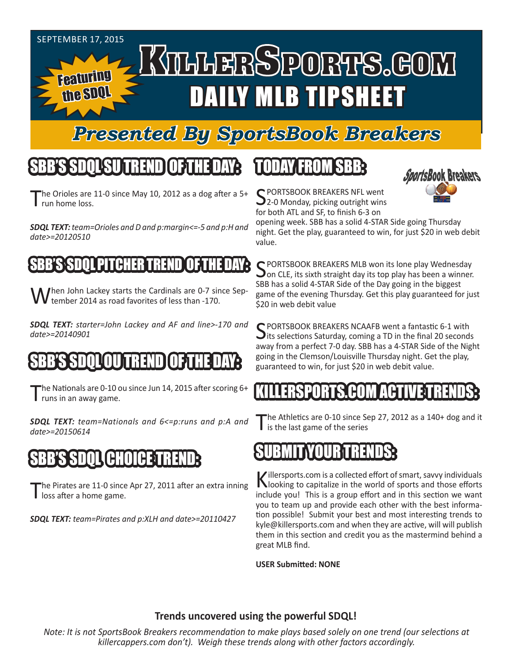#### SEPTEMBER 17, 2015 KILLERSPORTS.GOM Featuring DAILY MLB TIPSHEET the SDQL

### *Presented By SportsBook Breakers*

# SBB'S SDQLSU TREND OF THE DAY:

The Orioles are 11-0 since May 10, 2012 as a dog after a  $5+$ run home loss.

*SDQL TEXT: team=Orioles and D and p:margin<=-5 and p:H and date>=20120510*

#### PITCHER

When John Lackey starts the Cardinals are 0-7 since Sep-**V** tember 2014 as road favorites of less than -170.

*SDQL TEXT: starter=John Lackey and AF and line>-170 and date>=20140901*

# S SOOS SD

The Nationals are 0-10 ou since Jun 14, 2015 after scoring 6+ I runs in an away game.

*SDQL TEXT: team=Nationals and 6<=p:runs and p:A and date>=20150614*

### SBB'S SDQL CHOICE TREND:

The Pirates are 11-0 since Apr 27, 2011 after an extra inning l loss after a home game.

*SDQL TEXT: team=Pirates and p:XLH and date>=20110427*

# TODAY FROM SBB:



C PORTSBOOK BREAKERS NFL went 2-0 Monday, picking outright wins for both ATL and SF, to finish 6-3 on

opening week. SBB has a solid 4-STAR Side going Thursday night. Get the play, guaranteed to win, for just \$20 in web debit value.

SPORTSBOOK BREAKERS MLB won its lone play Wednesday<br>On CLE, its sixth straight day its top play has been a winner. SBB has a solid 4-STAR Side of the Day going in the biggest game of the evening Thursday. Get this play guaranteed for just \$20 in web debit value

C PORTSBOOK BREAKERS NCAAFB went a fantastic 6-1 with  $\bigcup$  its selections Saturday, coming a TD in the final 20 seconds away from a perfect 7-0 day. SBB has a 4-STAR Side of the Night going in the Clemson/Louisville Thursday night. Get the play, guaranteed to win, for just \$20 in web debit value.

#### KILLERSPORTS.COM ACTIVE TRENDS:

he Athletics are 0-10 since Sep 27, 2012 as a 140+ dog and it is the last game of the series

# SUBMIT YOUR TRENDS:

Killersports.com is a collected effort of smart, savvy individuals<br>Nooking to capitalize in the world of sports and those efforts include you! This is a group effort and in this section we want you to team up and provide each other with the best information possible! Submit your best and most interesting trends to kyle@killersports.com and when they are active, will will publish them in this section and credit you as the mastermind behind a great MLB find.

**USER Submitted: NONE**

#### **Trends uncovered using the powerful SDQL!**

*Note: It is not SportsBook Breakers recommendation to make plays based solely on one trend (our selections at killercappers.com don't). Weigh these trends along with other factors accordingly.*